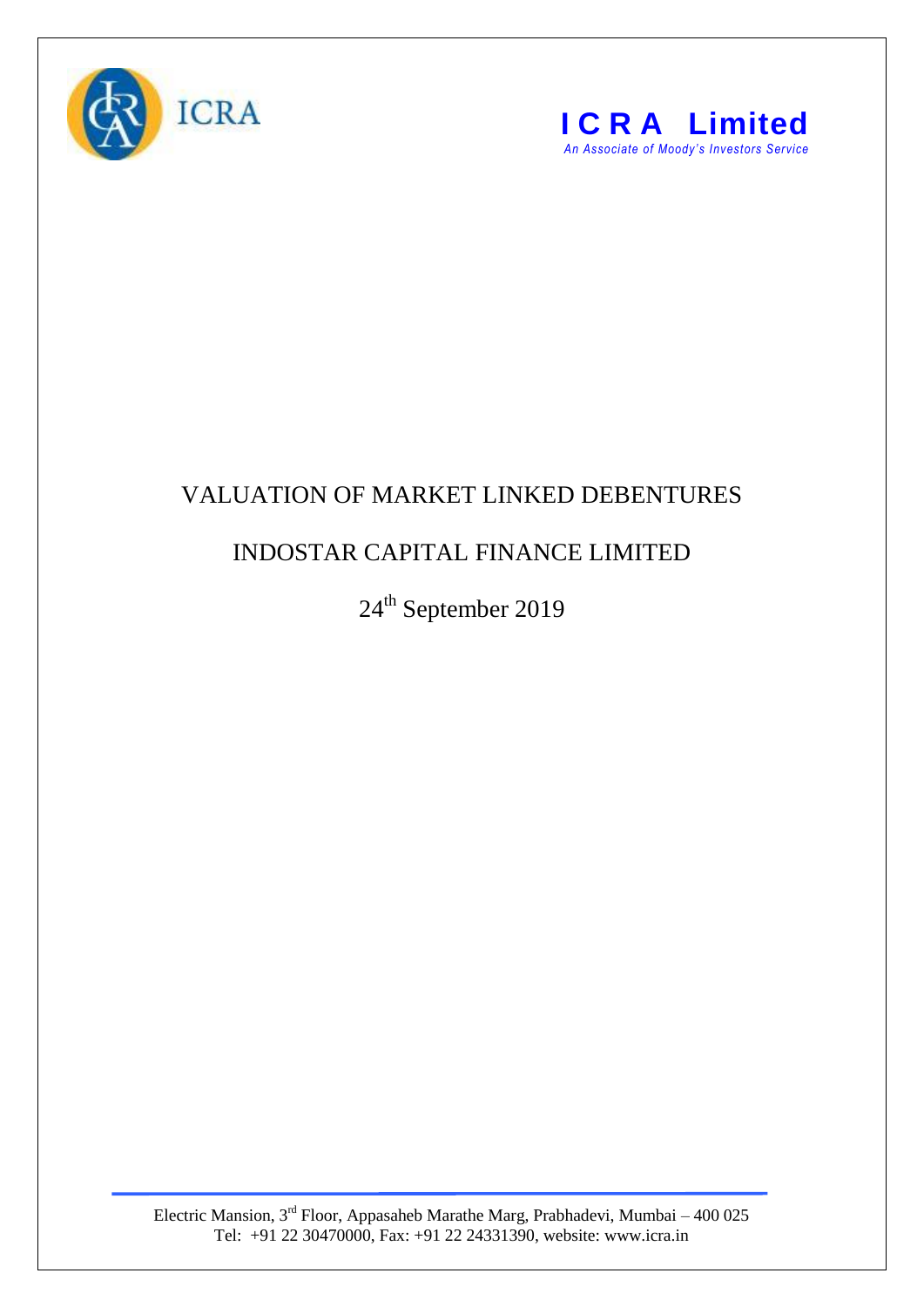



## VALUATION OF MARKET LINKED DEBENTURES

## INDOSTAR CAPITAL FINANCE LIMITED

24<sup>th</sup> September 2019

Electric Mansion,  $3<sup>rd</sup>$  Floor, Appasaheb Marathe Marg, Prabhadevi, Mumbai – 400 025 Tel: +91 22 30470000, Fax: +91 22 24331390, website: www.icra.in